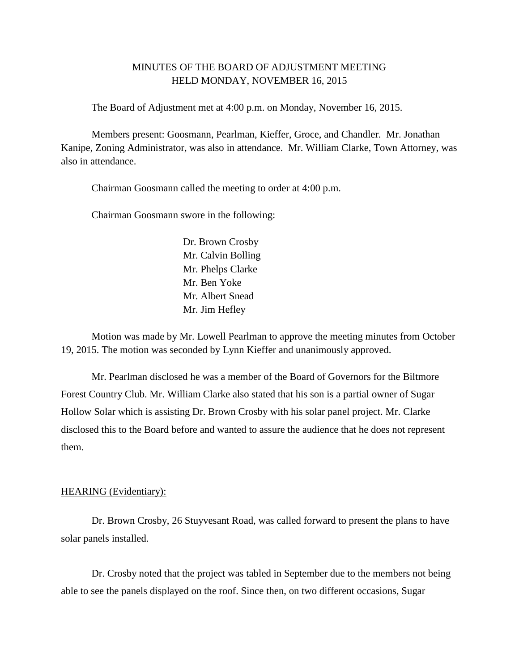## MINUTES OF THE BOARD OF ADJUSTMENT MEETING HELD MONDAY, NOVEMBER 16, 2015

The Board of Adjustment met at 4:00 p.m. on Monday, November 16, 2015.

Members present: Goosmann, Pearlman, Kieffer, Groce, and Chandler. Mr. Jonathan Kanipe, Zoning Administrator, was also in attendance. Mr. William Clarke, Town Attorney, was also in attendance.

Chairman Goosmann called the meeting to order at 4:00 p.m.

Chairman Goosmann swore in the following:

Dr. Brown Crosby Mr. Calvin Bolling Mr. Phelps Clarke Mr. Ben Yoke Mr. Albert Snead Mr. Jim Hefley

Motion was made by Mr. Lowell Pearlman to approve the meeting minutes from October 19, 2015. The motion was seconded by Lynn Kieffer and unanimously approved.

Mr. Pearlman disclosed he was a member of the Board of Governors for the Biltmore Forest Country Club. Mr. William Clarke also stated that his son is a partial owner of Sugar Hollow Solar which is assisting Dr. Brown Crosby with his solar panel project. Mr. Clarke disclosed this to the Board before and wanted to assure the audience that he does not represent them.

## HEARING (Evidentiary):

Dr. Brown Crosby, 26 Stuyvesant Road, was called forward to present the plans to have solar panels installed.

Dr. Crosby noted that the project was tabled in September due to the members not being able to see the panels displayed on the roof. Since then, on two different occasions, Sugar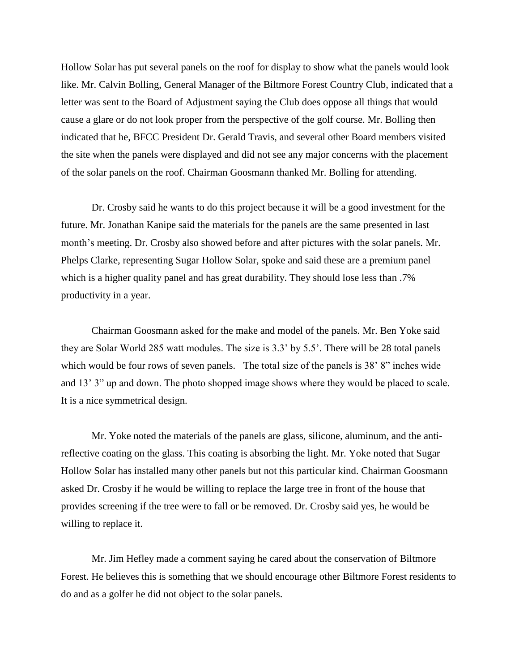Hollow Solar has put several panels on the roof for display to show what the panels would look like. Mr. Calvin Bolling, General Manager of the Biltmore Forest Country Club, indicated that a letter was sent to the Board of Adjustment saying the Club does oppose all things that would cause a glare or do not look proper from the perspective of the golf course. Mr. Bolling then indicated that he, BFCC President Dr. Gerald Travis, and several other Board members visited the site when the panels were displayed and did not see any major concerns with the placement of the solar panels on the roof. Chairman Goosmann thanked Mr. Bolling for attending.

Dr. Crosby said he wants to do this project because it will be a good investment for the future. Mr. Jonathan Kanipe said the materials for the panels are the same presented in last month's meeting. Dr. Crosby also showed before and after pictures with the solar panels. Mr. Phelps Clarke, representing Sugar Hollow Solar, spoke and said these are a premium panel which is a higher quality panel and has great durability. They should lose less than .7% productivity in a year.

Chairman Goosmann asked for the make and model of the panels. Mr. Ben Yoke said they are Solar World 285 watt modules. The size is 3.3' by 5.5'. There will be 28 total panels which would be four rows of seven panels. The total size of the panels is 38' 8" inches wide and 13' 3" up and down. The photo shopped image shows where they would be placed to scale. It is a nice symmetrical design.

Mr. Yoke noted the materials of the panels are glass, silicone, aluminum, and the antireflective coating on the glass. This coating is absorbing the light. Mr. Yoke noted that Sugar Hollow Solar has installed many other panels but not this particular kind. Chairman Goosmann asked Dr. Crosby if he would be willing to replace the large tree in front of the house that provides screening if the tree were to fall or be removed. Dr. Crosby said yes, he would be willing to replace it.

Mr. Jim Hefley made a comment saying he cared about the conservation of Biltmore Forest. He believes this is something that we should encourage other Biltmore Forest residents to do and as a golfer he did not object to the solar panels.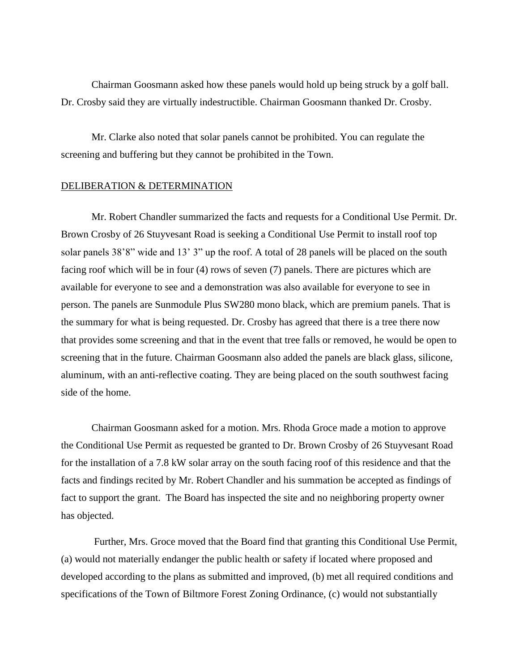Chairman Goosmann asked how these panels would hold up being struck by a golf ball. Dr. Crosby said they are virtually indestructible. Chairman Goosmann thanked Dr. Crosby.

Mr. Clarke also noted that solar panels cannot be prohibited. You can regulate the screening and buffering but they cannot be prohibited in the Town.

## DELIBERATION & DETERMINATION

Mr. Robert Chandler summarized the facts and requests for a Conditional Use Permit. Dr. Brown Crosby of 26 Stuyvesant Road is seeking a Conditional Use Permit to install roof top solar panels 38'8" wide and 13' 3" up the roof. A total of 28 panels will be placed on the south facing roof which will be in four (4) rows of seven (7) panels. There are pictures which are available for everyone to see and a demonstration was also available for everyone to see in person. The panels are Sunmodule Plus SW280 mono black, which are premium panels. That is the summary for what is being requested. Dr. Crosby has agreed that there is a tree there now that provides some screening and that in the event that tree falls or removed, he would be open to screening that in the future. Chairman Goosmann also added the panels are black glass, silicone, aluminum, with an anti-reflective coating. They are being placed on the south southwest facing side of the home.

Chairman Goosmann asked for a motion. Mrs. Rhoda Groce made a motion to approve the Conditional Use Permit as requested be granted to Dr. Brown Crosby of 26 Stuyvesant Road for the installation of a 7.8 kW solar array on the south facing roof of this residence and that the facts and findings recited by Mr. Robert Chandler and his summation be accepted as findings of fact to support the grant. The Board has inspected the site and no neighboring property owner has objected.

Further, Mrs. Groce moved that the Board find that granting this Conditional Use Permit, (a) would not materially endanger the public health or safety if located where proposed and developed according to the plans as submitted and improved, (b) met all required conditions and specifications of the Town of Biltmore Forest Zoning Ordinance, (c) would not substantially